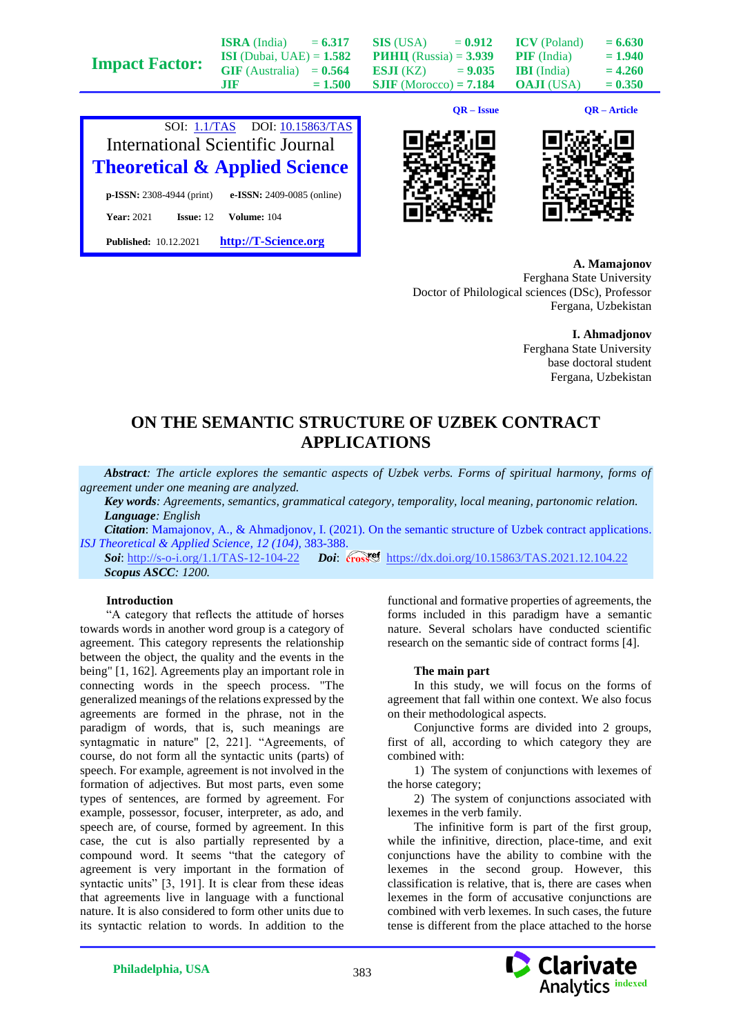| <b>Impact Factor:</b> | <b>ISRA</b> (India)<br><b>ISI</b> (Dubai, UAE) = $1.582$<br>$GIF$ (Australia) = $0.564$<br>m | $= 6.317$<br>$= 1.500$ | <b>SIS</b> (USA)<br>$= 0.912$<br><b>PHHII</b> (Russia) = $3.939$<br><b>ESJI</b> (KZ)<br>$= 9.035$<br>$SIIF$ (Morocco) = 7.184 | <b>ICV</b> (Poland)<br><b>PIF</b> (India)<br><b>IBI</b> (India)<br><b>OAJI</b> (USA) | $= 6.630$<br>$= 1.940$<br>$= 4.260$<br>$= 0.350$ |
|-----------------------|----------------------------------------------------------------------------------------------|------------------------|-------------------------------------------------------------------------------------------------------------------------------|--------------------------------------------------------------------------------------|--------------------------------------------------|
|                       |                                                                                              |                        |                                                                                                                               |                                                                                      |                                                  |



**Published:** 10.12.2021 **[http://T-Science.org](http://t-science.org/)**

**QR – Issue QR – Article**





**A. Mamajonov** Ferghana State University Doctor of Philological sciences (DSc), Professor Fergana, Uzbekistan

> **I. Ahmadjonov** Ferghana State University base doctoral student Fergana, Uzbekistan

## **ON THE SEMANTIC STRUCTURE OF UZBEK CONTRACT APPLICATIONS**

*Abstract: The article explores the semantic aspects of Uzbek verbs. Forms of spiritual harmony, forms of agreement under one meaning are analyzed.*

*Key words: Agreements, semantics, grammatical category, temporality, local meaning, partonomic relation. Language: English*

*Citation*: Mamajonov, A., & Ahmadjonov, I. (2021). On the semantic structure of Uzbek contract applications.

*ISJ Theoretical & Applied Science, 12 (104), 383-388.*<br>*Soi:* http://s-o-i.org/1.1/TAS-12-104-22 Doi: *Doi:* crosset <https://dx.doi.org/10.15863/TAS.2021.12.104.22> *Scopus ASCC: 1200.*

### **Introduction**

"A category that reflects the attitude of horses towards words in another word group is a category of agreement. This category represents the relationship between the object, the quality and the events in the being" [1, 162]. Agreements play an important role in connecting words in the speech process. "The generalized meanings of the relations expressed by the agreements are formed in the phrase, not in the paradigm of words, that is, such meanings are syntagmatic in nature" [2, 221]. "Agreements, of course, do not form all the syntactic units (parts) of speech. For example, agreement is not involved in the formation of adjectives. But most parts, even some types of sentences, are formed by agreement. For example, possessor, focuser, interpreter, as ado, and speech are, of course, formed by agreement. In this case, the cut is also partially represented by a compound word. It seems "that the category of agreement is very important in the formation of syntactic units" [3, 191]. It is clear from these ideas that agreements live in language with a functional nature. It is also considered to form other units due to its syntactic relation to words. In addition to the

functional and formative properties of agreements, the forms included in this paradigm have a semantic nature. Several scholars have conducted scientific research on the semantic side of contract forms [4].

#### **The main part**

In this study, we will focus on the forms of agreement that fall within one context. We also focus on their methodological aspects.

Conjunctive forms are divided into 2 groups, first of all, according to which category they are combined with:

1) The system of conjunctions with lexemes of the horse category;

2) The system of conjunctions associated with lexemes in the verb family.

The infinitive form is part of the first group, while the infinitive, direction, place-time, and exit conjunctions have the ability to combine with the lexemes in the second group. However, this classification is relative, that is, there are cases when lexemes in the form of accusative conjunctions are combined with verb lexemes. In such cases, the future tense is different from the place attached to the horse

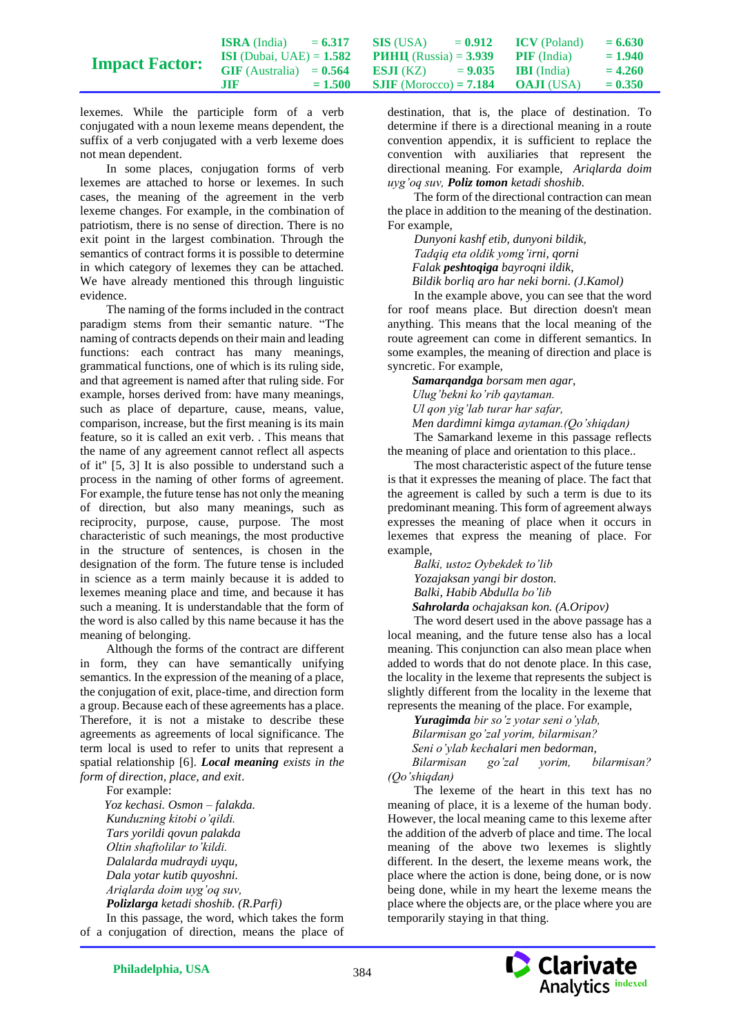|                       | <b>ISRA</b> (India)               | $= 6.317$ | <b>SIS</b> (USA)                | $= 0.912$ | <b>ICV</b> (Poland) | $= 6.630$ |
|-----------------------|-----------------------------------|-----------|---------------------------------|-----------|---------------------|-----------|
| <b>Impact Factor:</b> | <b>ISI</b> (Dubai, UAE) = $1.582$ |           | <b>PHHII</b> (Russia) = $3.939$ |           | <b>PIF</b> (India)  | $= 1.940$ |
|                       | $GIF$ (Australia) = $0.564$       |           | ESJI (KZ)                       | $= 9.035$ | <b>IBI</b> (India)  | $= 4.260$ |
|                       | <b>JIR</b>                        | $= 1.500$ | <b>SJIF</b> (Morocco) = $7.184$ |           | <b>OAJI</b> (USA)   | $= 0.350$ |

lexemes. While the participle form of a verb conjugated with a noun lexeme means dependent, the suffix of a verb conjugated with a verb lexeme does not mean dependent.

In some places, conjugation forms of verb lexemes are attached to horse or lexemes. In such cases, the meaning of the agreement in the verb lexeme changes. For example, in the combination of patriotism, there is no sense of direction. There is no exit point in the largest combination. Through the semantics of contract forms it is possible to determine in which category of lexemes they can be attached. We have already mentioned this through linguistic evidence.

The naming of the forms included in the contract paradigm stems from their semantic nature. "The naming of contracts depends on their main and leading functions: each contract has many meanings, grammatical functions, one of which is its ruling side, and that agreement is named after that ruling side. For example, horses derived from: have many meanings, such as place of departure, cause, means, value, comparison, increase, but the first meaning is its main feature, so it is called an exit verb. . This means that the name of any agreement cannot reflect all aspects of it" [5, 3] It is also possible to understand such a process in the naming of other forms of agreement. For example, the future tense has not only the meaning of direction, but also many meanings, such as reciprocity, purpose, cause, purpose. The most characteristic of such meanings, the most productive in the structure of sentences, is chosen in the designation of the form. The future tense is included in science as a term mainly because it is added to lexemes meaning place and time, and because it has such a meaning. It is understandable that the form of the word is also called by this name because it has the meaning of belonging.

Although the forms of the contract are different in form, they can have semantically unifying semantics. In the expression of the meaning of a place, the conjugation of exit, place-time, and direction form a group. Because each of these agreements has a place. Therefore, it is not a mistake to describe these agreements as agreements of local significance. The term local is used to refer to units that represent a spatial relationship [6]. *Local meaning exists in the form of direction, place, and exit*.

For example:

*Yoz kechasi. Osmon – falakda. Kunduzning kitobi o'qildi. Tars yorildi qovun palakda Oltin shaftolilar to'kildi. Dalalarda mudraydi uyqu, Dala yotar kutib quyoshni. Ariqlarda doim uyg'oq suv, Polizlarga ketadi shoshib. (R.Parfi)* In this passage, the word, which takes the form

of a conjugation of direction, means the place of

destination, that is, the place of destination. To determine if there is a directional meaning in a route convention appendix, it is sufficient to replace the convention with auxiliaries that represent the directional meaning. For example, *Ariqlarda doim uyg'oq suv, Poliz tomon ketadi shoshib.*

The form of the directional contraction can mean the place in addition to the meaning of the destination. For example,

*Dunyoni kashf etib, dunyoni bildik, Tadqiq eta oldik yomg'irni, qorni Falak peshtoqiga bayroqni ildik, Bildik borliq aro har neki borni. (J.Kamol)*

In the example above, you can see that the word for roof means place. But direction doesn't mean anything. This means that the local meaning of the route agreement can come in different semantics. In some examples, the meaning of direction and place is syncretic. For example,

*Samarqandga borsam men agar, Ulug'bekni ko'rib qaytaman. Ul qon yig'lab turar har safar, Men dardimni kimga aytaman.(Qo'shiqdan)*

The Samarkand lexeme in this passage reflects the meaning of place and orientation to this place..

The most characteristic aspect of the future tense is that it expresses the meaning of place. The fact that the agreement is called by such a term is due to its predominant meaning. This form of agreement always expresses the meaning of place when it occurs in lexemes that express the meaning of place. For example,

*Balki, ustoz Oybekdek to'lib Yozajaksan yangi bir doston. Balki, Habib Abdulla bo'lib Sahrolarda ochajaksan kon. (A.Oripov)*

The word desert used in the above passage has a local meaning, and the future tense also has a local meaning. This conjunction can also mean place when added to words that do not denote place. In this case, the locality in the lexeme that represents the subject is slightly different from the locality in the lexeme that represents the meaning of the place. For example,

*Yuragimda bir so'z yotar seni o'ylab, Bilarmisan go'zal yorim, bilarmisan? Seni o'ylab kechalari men bedorman, Bilarmisan go'zal yorim, bilarmisan? (Qo'shiqdan)*

The lexeme of the heart in this text has no meaning of place, it is a lexeme of the human body. However, the local meaning came to this lexeme after the addition of the adverb of place and time. The local meaning of the above two lexemes is slightly different. In the desert, the lexeme means work, the place where the action is done, being done, or is now being done, while in my heart the lexeme means the place where the objects are, or the place where you are temporarily staying in that thing.

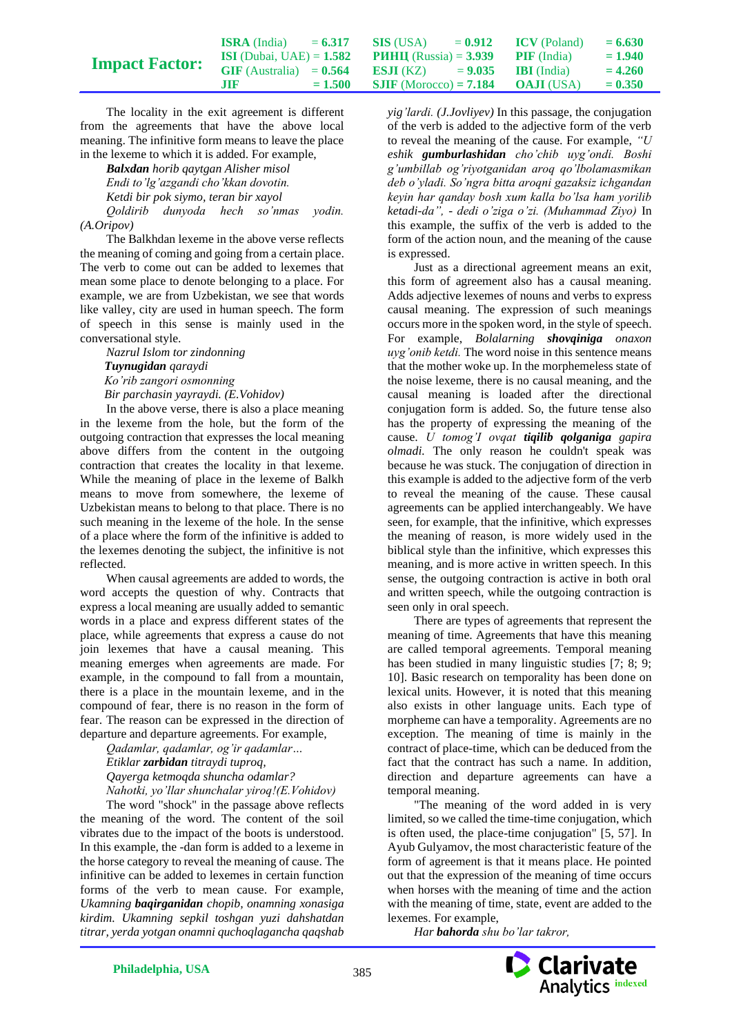|                       | <b>ISRA</b> (India)               | $= 6.317$ | SIS (USA)                                          | $= 0.912$ | <b>ICV</b> (Poland) | $= 6.630$ |
|-----------------------|-----------------------------------|-----------|----------------------------------------------------|-----------|---------------------|-----------|
| <b>Impact Factor:</b> | <b>ISI</b> (Dubai, UAE) = $1.582$ |           | <b>PHHII</b> (Russia) = $3.939$ <b>PIF</b> (India) |           |                     | $= 1.940$ |
|                       | $GIF$ (Australia) = $0.564$       |           | <b>ESJI</b> (KZ) $= 9.035$ <b>IBI</b> (India)      |           |                     | $= 4.260$ |
|                       | .TIF                              | $= 1.500$ | <b>SJIF</b> (Morocco) = <b>7.184 OAJI</b> (USA)    |           |                     | $= 0.350$ |

The locality in the exit agreement is different from the agreements that have the above local meaning. The infinitive form means to leave the place in the lexeme to which it is added. For example,

*Balxdan horib qaytgan Alisher misol Endi to'lg'azgandi cho'kkan dovotin. Ketdi bir pok siymo, teran bir xayol Qoldirib dunyoda hech so'nmas yodin. (A.Oripov)*

The Balkhdan lexeme in the above verse reflects the meaning of coming and going from a certain place. The verb to come out can be added to lexemes that mean some place to denote belonging to a place. For example, we are from Uzbekistan, we see that words like valley, city are used in human speech. The form of speech in this sense is mainly used in the conversational style.

*Nazrul Islom tor zindonning Tuynugidan qaraydi Ko'rib zangori osmonning Bir parchasin yayraydi. (E.Vohidov)* 

In the above verse, there is also a place meaning in the lexeme from the hole, but the form of the outgoing contraction that expresses the local meaning above differs from the content in the outgoing contraction that creates the locality in that lexeme. While the meaning of place in the lexeme of Balkh means to move from somewhere, the lexeme of Uzbekistan means to belong to that place. There is no such meaning in the lexeme of the hole. In the sense of a place where the form of the infinitive is added to the lexemes denoting the subject, the infinitive is not reflected.

When causal agreements are added to words, the word accepts the question of why. Contracts that express a local meaning are usually added to semantic words in a place and express different states of the place, while agreements that express a cause do not join lexemes that have a causal meaning. This meaning emerges when agreements are made. For example, in the compound to fall from a mountain, there is a place in the mountain lexeme, and in the compound of fear, there is no reason in the form of fear. The reason can be expressed in the direction of departure and departure agreements. For example,

*Qadamlar, qadamlar, og'ir qadamlar… Etiklar zarbidan titraydi tuproq, Qayerga ketmoqda shuncha odamlar? Nahotki, yo'llar shunchalar yiroq!(E.Vohidov)*

The word "shock" in the passage above reflects the meaning of the word. The content of the soil vibrates due to the impact of the boots is understood. In this example, the -dan form is added to a lexeme in the horse category to reveal the meaning of cause. The infinitive can be added to lexemes in certain function forms of the verb to mean cause. For example, *Ukamning baqirganidan chopib, onamning xonasiga kirdim. Ukamning sepkil toshgan yuzi dahshatdan titrar, yerda yotgan onamni quchoqlagancha qaqshab* 

*yig'lardi. (J.Jovliyev)* In this passage, the conjugation of the verb is added to the adjective form of the verb to reveal the meaning of the cause. For example, *"U eshik gumburlashidan cho'chib uyg'ondi. Boshi g'umbillab og'riyotganidan aroq qo'lbolamasmikan deb o'yladi. So'ngra bitta aroqni gazaksiz ichgandan keyin har qanday bosh xum kalla bo'lsa ham yorilib ketadi-da", - dedi o'ziga o'zi. (Muhammad Ziyo)* In this example, the suffix of the verb is added to the form of the action noun, and the meaning of the cause is expressed.

Just as a directional agreement means an exit, this form of agreement also has a causal meaning. Adds adjective lexemes of nouns and verbs to express causal meaning. The expression of such meanings occurs more in the spoken word, in the style of speech. For example, *Bolalarning shovainiga onaxon uyg'onib ketdi.* The word noise in this sentence means that the mother woke up. In the morphemeless state of the noise lexeme, there is no causal meaning, and the causal meaning is loaded after the directional conjugation form is added. So, the future tense also has the property of expressing the meaning of the cause. *U tomog'I ovqat tiqilib qolganiga gapira olmadi.* The only reason he couldn't speak was because he was stuck. The conjugation of direction in this example is added to the adjective form of the verb to reveal the meaning of the cause. These causal agreements can be applied interchangeably. We have seen, for example, that the infinitive, which expresses the meaning of reason, is more widely used in the biblical style than the infinitive, which expresses this meaning, and is more active in written speech. In this sense, the outgoing contraction is active in both oral and written speech, while the outgoing contraction is seen only in oral speech.

There are types of agreements that represent the meaning of time. Agreements that have this meaning are called temporal agreements. Temporal meaning has been studied in many linguistic studies [7; 8; 9; 10]. Basic research on temporality has been done on lexical units. However, it is noted that this meaning also exists in other language units. Each type of morpheme can have a temporality. Agreements are no exception. The meaning of time is mainly in the contract of place-time, which can be deduced from the fact that the contract has such a name. In addition, direction and departure agreements can have a temporal meaning.

"The meaning of the word added in is very limited, so we called the time-time conjugation, which is often used, the place-time conjugation" [5, 57]. In Ayub Gulyamov, the most characteristic feature of the form of agreement is that it means place. He pointed out that the expression of the meaning of time occurs when horses with the meaning of time and the action with the meaning of time, state, event are added to the lexemes. For example,

*Har bahorda shu bo'lar takror,* 

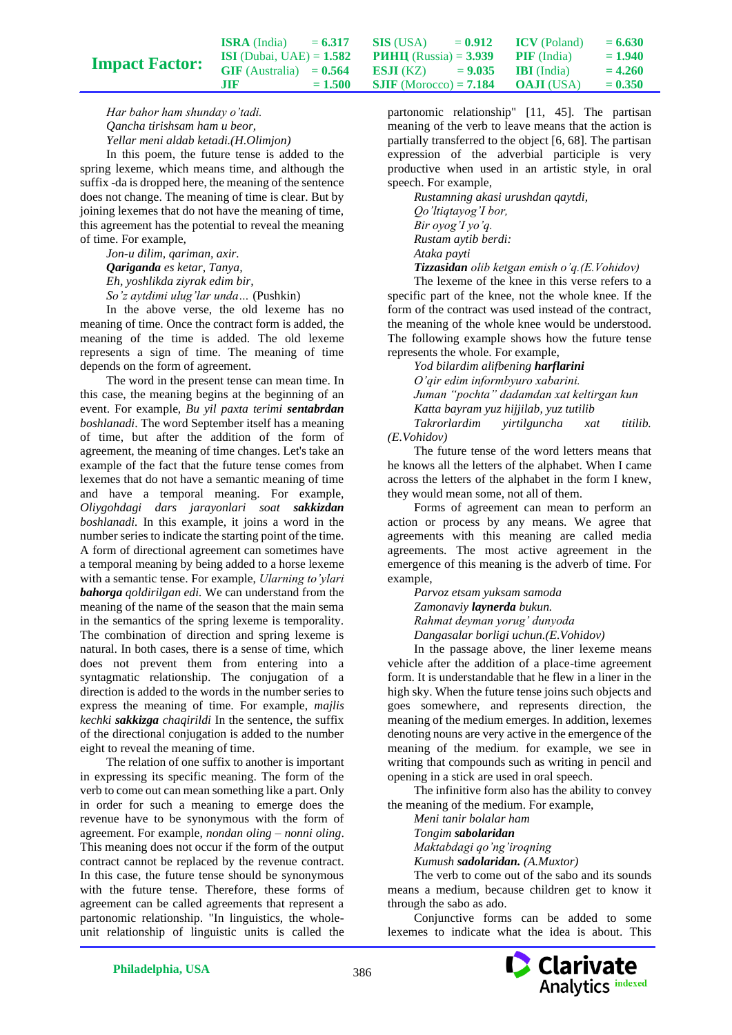| <b>ISRA</b> (India)               | $= 6.317$ | <b>SIS</b> (USA)                | $= 0.912$ | <b>ICV</b> (Poland) | $= 6.630$ |
|-----------------------------------|-----------|---------------------------------|-----------|---------------------|-----------|
| <b>ISI</b> (Dubai, UAE) = $1.582$ |           | <b>PHHII</b> (Russia) = $3.939$ |           | <b>PIF</b> (India)  | $= 1.940$ |
| $GIF$ (Australia) = $0.564$       |           | <b>ESJI</b> (KZ)                | $= 9.035$ | <b>IBI</b> (India)  | $= 4.260$ |
| .HR.                              | $= 1.500$ | <b>SJIF</b> (Morocco) = $7.184$ |           | <b>OAJI</b> (USA)   | $= 0.350$ |

*Har bahor ham shunday o'tadi. Qancha tirishsam ham u beor, Yellar meni aldab ketadi.(H.Olimjon)*

**Impact Factor:**

In this poem, the future tense is added to the spring lexeme, which means time, and although the suffix -da is dropped here, the meaning of the sentence does not change. The meaning of time is clear. But by joining lexemes that do not have the meaning of time, this agreement has the potential to reveal the meaning of time. For example,

*Jon-u dilim, qariman, axir. Qariganda es ketar, Tanya, Eh, yoshlikda ziyrak edim bir, So'z aytdimi ulug'lar unda…* (Pushkin)

In the above verse, the old lexeme has no meaning of time. Once the contract form is added, the meaning of the time is added. The old lexeme represents a sign of time. The meaning of time depends on the form of agreement.

The word in the present tense can mean time. In this case, the meaning begins at the beginning of an event. For example, *Bu yil paxta terimi sentabrdan boshlanadi*. The word September itself has a meaning of time, but after the addition of the form of agreement, the meaning of time changes. Let's take an example of the fact that the future tense comes from lexemes that do not have a semantic meaning of time and have a temporal meaning. For example, *Oliygohdagi dars jarayonlari soat sakkizdan boshlanadi.* In this example, it joins a word in the number series to indicate the starting point of the time. A form of directional agreement can sometimes have a temporal meaning by being added to a horse lexeme with a semantic tense. For example, *Ularning to'ylari bahorga qoldirilgan edi.* We can understand from the meaning of the name of the season that the main sema in the semantics of the spring lexeme is temporality. The combination of direction and spring lexeme is natural. In both cases, there is a sense of time, which does not prevent them from entering into a syntagmatic relationship. The conjugation of a direction is added to the words in the number series to express the meaning of time. For example, *majlis kechki sakkizga chaqirildi* In the sentence, the suffix of the directional conjugation is added to the number eight to reveal the meaning of time.

The relation of one suffix to another is important in expressing its specific meaning. The form of the verb to come out can mean something like a part. Only in order for such a meaning to emerge does the revenue have to be synonymous with the form of agreement. For example, *nondan oling – nonni oling*. This meaning does not occur if the form of the output contract cannot be replaced by the revenue contract. In this case, the future tense should be synonymous with the future tense. Therefore, these forms of agreement can be called agreements that represent a partonomic relationship. "In linguistics, the wholeunit relationship of linguistic units is called the

partonomic relationship" [11, 45]. The partisan meaning of the verb to leave means that the action is partially transferred to the object [6, 68]. The partisan expression of the adverbial participle is very productive when used in an artistic style, in oral speech. For example,

*Rustamning akasi urushdan qaytdi, Qo'ltiqtayog'I bor, Bir oyog'I yo'q. Rustam aytib berdi: Ataka payti*

*Tizzasidan olib ketgan emish o'q.(E.Vohidov)*

The lexeme of the knee in this verse refers to a specific part of the knee, not the whole knee. If the form of the contract was used instead of the contract, the meaning of the whole knee would be understood. The following example shows how the future tense represents the whole. For example,

*Yod bilardim alifbening harflarini O'qir edim informbyuro xabarini. Juman "pochta" dadamdan xat keltirgan kun Katta bayram yuz hijjilab, yuz tutilib Takrorlardim yirtilguncha xat titilib. (E.Vohidov)*

The future tense of the word letters means that he knows all the letters of the alphabet. When I came across the letters of the alphabet in the form I knew, they would mean some, not all of them.

Forms of agreement can mean to perform an action or process by any means. We agree that agreements with this meaning are called media agreements. The most active agreement in the emergence of this meaning is the adverb of time. For example,

*Parvoz etsam yuksam samoda Zamonaviy laynerda bukun. Rahmat deyman yorug' dunyoda Dangasalar borligi uchun.(E.Vohidov)*

In the passage above, the liner lexeme means vehicle after the addition of a place-time agreement form. It is understandable that he flew in a liner in the high sky. When the future tense joins such objects and goes somewhere, and represents direction, the meaning of the medium emerges. In addition, lexemes denoting nouns are very active in the emergence of the meaning of the medium. for example, we see in writing that compounds such as writing in pencil and opening in a stick are used in oral speech.

The infinitive form also has the ability to convey the meaning of the medium. For example,

*Meni tanir bolalar ham Tongim sabolaridan Maktabdagi qo'ng'iroqning Kumush sadolaridan. (A.Muxtor)*

The verb to come out of the sabo and its sounds means a medium, because children get to know it through the sabo as ado.

Conjunctive forms can be added to some lexemes to indicate what the idea is about. This

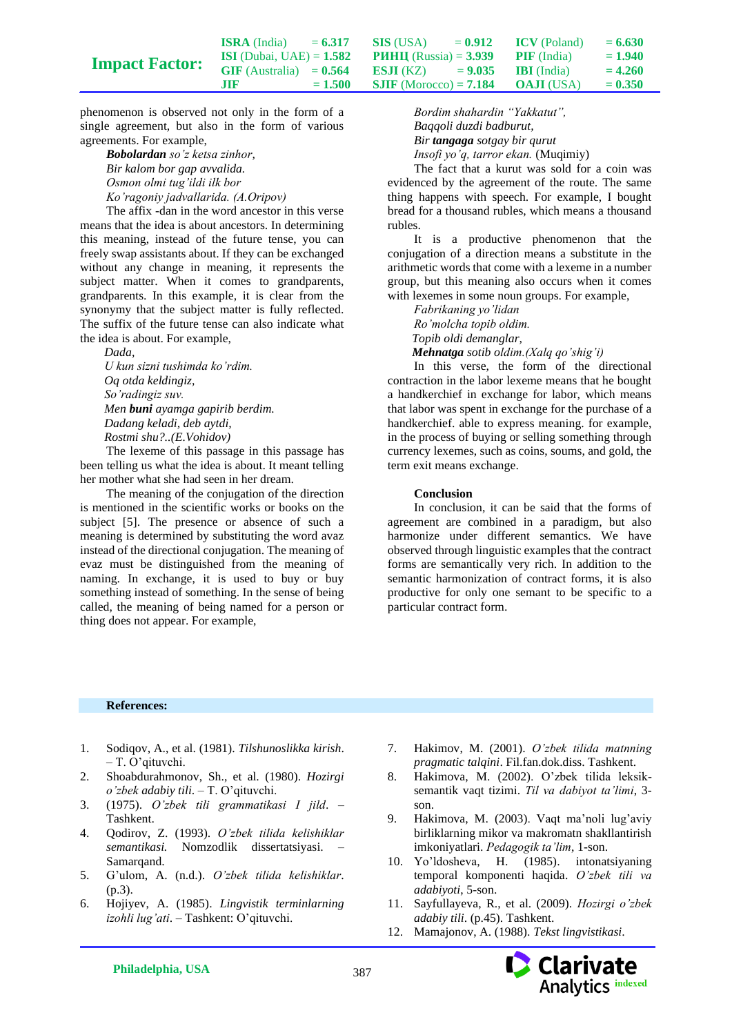|                       | <b>ISRA</b> (India)               | $= 6.317$ | SIS (USA)                       | $= 0.912$ | <b>ICV</b> (Poland) | $= 6.630$ |
|-----------------------|-----------------------------------|-----------|---------------------------------|-----------|---------------------|-----------|
| <b>Impact Factor:</b> | <b>ISI</b> (Dubai, UAE) = $1.582$ |           | <b>PHHII</b> (Russia) = $3.939$ |           | <b>PIF</b> (India)  | $= 1.940$ |
|                       | $GIF$ (Australia) = $0.564$       |           | <b>ESJI</b> (KZ) = $9.035$      |           | <b>IBI</b> (India)  | $= 4.260$ |
|                       | ШF                                | $= 1.500$ | <b>SJIF</b> (Morocco) = $7.184$ |           | <b>OAJI</b> (USA)   | $= 0.350$ |

phenomenon is observed not only in the form of a single agreement, but also in the form of various agreements. For example,

*Bobolardan so'z ketsa zinhor, Bir kalom bor gap avvalida. Osmon olmi tug'ildi ilk bor Ko'ragoniy jadvallarida. (A.Oripov)* 

The affix -dan in the word ancestor in this verse means that the idea is about ancestors. In determining this meaning, instead of the future tense, you can freely swap assistants about. If they can be exchanged without any change in meaning, it represents the subject matter. When it comes to grandparents, grandparents. In this example, it is clear from the synonymy that the subject matter is fully reflected. The suffix of the future tense can also indicate what the idea is about. For example,

*Dada,*

*U kun sizni tushimda ko'rdim. Oq otda keldingiz, So'radingiz suv. Men buni ayamga gapirib berdim. Dadang keladi, deb aytdi, Rostmi shu?..(E.Vohidov)*

The lexeme of this passage in this passage has been telling us what the idea is about. It meant telling her mother what she had seen in her dream.

The meaning of the conjugation of the direction is mentioned in the scientific works or books on the subject [5]. The presence or absence of such a meaning is determined by substituting the word avaz instead of the directional conjugation. The meaning of evaz must be distinguished from the meaning of naming. In exchange, it is used to buy or buy something instead of something. In the sense of being called, the meaning of being named for a person or thing does not appear. For example,

*Bordim shahardin "Yakkatut", Baqqoli duzdi badburut, Bir tangaga sotgay bir qurut Insofi yo'q, tarror ekan.* (Muqimiy)

The fact that a kurut was sold for a coin was evidenced by the agreement of the route. The same thing happens with speech. For example, I bought bread for a thousand rubles, which means a thousand rubles.

It is a productive phenomenon that the conjugation of a direction means a substitute in the arithmetic words that come with a lexeme in a number group, but this meaning also occurs when it comes with lexemes in some noun groups. For example,

*Fabrikaning yo'lidan Ro'molcha topib oldim. Topib oldi demanglar, Mehnatga sotib oldim.(Xalq qo'shig'i)* 

In this verse, the form of the directional contraction in the labor lexeme means that he bought a handkerchief in exchange for labor, which means that labor was spent in exchange for the purchase of a handkerchief. able to express meaning. for example, in the process of buying or selling something through currency lexemes, such as coins, soums, and gold, the term exit means exchange.

#### **Conclusion**

In conclusion, it can be said that the forms of agreement are combined in a paradigm, but also harmonize under different semantics. We have observed through linguistic examples that the contract forms are semantically very rich. In addition to the semantic harmonization of contract forms, it is also productive for only one semant to be specific to a particular contract form.

#### **References:**

- 1. Sodiqov, A., et al. (1981). *Tilshunoslikka kirish*. – T. O'qituvchi.
- 2. Shoabdurahmonov, Sh., et al. (1980). *Hozirgi o'zbek adabiy tili*. – T. O'qituvchi.
- 3. (1975). *O'zbek tili grammatikasi I jild*. Tashkent.
- 4. Qodirov, Z. (1993). *O'zbek tilida kelishiklar semantikasi.* Nomzodlik dissertatsiyasi. – Samarqand.
- 5. G'ulom, A. (n.d.). *O'zbek tilida kelishiklar*. (p.3).
- 6. Hojiyev, A. (1985). *Lingvistik terminlarning izohli lug'ati*. – Tashkent: O'qituvchi.
- 7. Hakimov, M. (2001). *O'zbek tilida matnning pragmatic talqini*. Fil.fan.dok.diss. Tashkent.
- 8. Hakimova, M. (2002). O'zbek tilida leksiksemantik vaqt tizimi. *Til va dabiyot ta'limi*, 3 son.
- 9. Hakimova, M. (2003). Vaqt ma'noli lug'aviy birliklarning mikor va makromatn shakllantirish imkoniyatlari. *Pedagogik ta'lim*, 1-son.
- 10. Yo'ldosheva, H. (1985). intonatsiyaning temporal komponenti haqida. *O'zbek tili va adabiyoti*, 5-son.
- 11. Sayfullayeva, R., et al. (2009). *Hozirgi o'zbek adabiy tili*. (p.45). Tashkent.
- 12. Mamajonov, A. (1988). *Tekst lingvistikasi*.